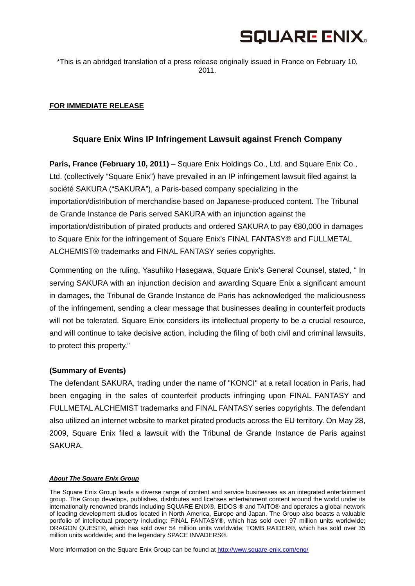# **SQUARE ENIX.**

\*This is an abridged translation of a press release originally issued in France on February 10, 2011.

## **FOR IMMEDIATE RELEASE**

# **Square Enix Wins IP Infringement Lawsuit against French Company**

**Paris, France (February 10, 2011)** – Square Enix Holdings Co., Ltd. and Square Enix Co., Ltd. (collectively "Square Enix") have prevailed in an IP infringement lawsuit filed against la société SAKURA ("SAKURA"), a Paris-based company specializing in the importation/distribution of merchandise based on Japanese-produced content. The Tribunal de Grande Instance de Paris served SAKURA with an injunction against the importation/distribution of pirated products and ordered SAKURA to pay €80,000 in damages to Square Enix for the infringement of Square Enix's FINAL FANTASY® and FULLMETAL ALCHEMIST® trademarks and FINAL FANTASY series copyrights.

Commenting on the ruling, Yasuhiko Hasegawa, Square Enix's General Counsel, stated, " In serving SAKURA with an injunction decision and awarding Square Enix a significant amount in damages, the Tribunal de Grande Instance de Paris has acknowledged the maliciousness of the infringement, sending a clear message that businesses dealing in counterfeit products will not be tolerated. Square Enix considers its intellectual property to be a crucial resource, and will continue to take decisive action, including the filing of both civil and criminal lawsuits, to protect this property."

### **(Summary of Events)**

The defendant SAKURA, trading under the name of "KONCI" at a retail location in Paris, had been engaging in the sales of counterfeit products infringing upon FINAL FANTASY and FULLMETAL ALCHEMIST trademarks and FINAL FANTASY series copyrights. The defendant also utilized an internet website to market pirated products across the EU territory. On May 28, 2009, Square Enix filed a lawsuit with the Tribunal de Grande Instance de Paris against SAKURA.

#### *About The Square Enix Group*

The Square Enix Group leads a diverse range of content and service businesses as an integrated entertainment group. The Group develops, publishes, distributes and licenses entertainment content around the world under its internationally renowned brands including SQUARE ENIX®, EIDOS ® and TAITO® and operates a global network of leading development studios located in North America, Europe and Japan. The Group also boasts a valuable portfolio of intellectual property including: FINAL FANTASY®, which has sold over 97 million units worldwide; DRAGON QUEST®, which has sold over 54 million units worldwide; TOMB RAIDER®, which has sold over 35 million units worldwide; and the legendary SPACE INVADERS®.

More information on the Square Enix Group can be found at http://www.square-enix.com/eng/